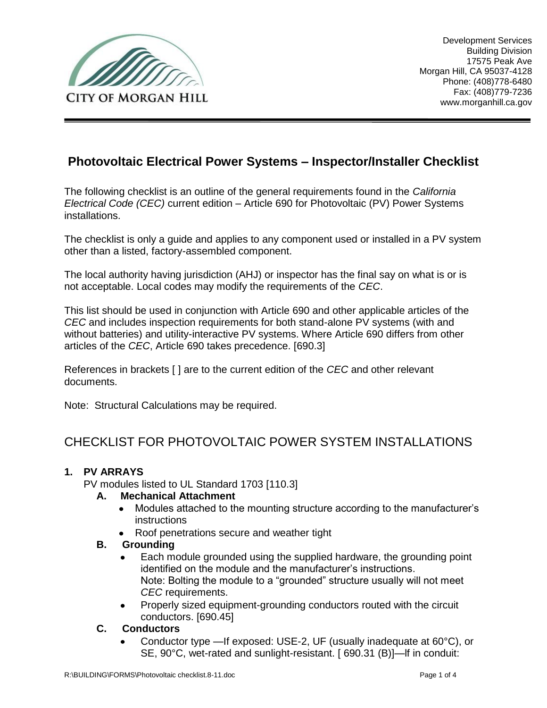

# **Photovoltaic Electrical Power Systems – Inspector/Installer Checklist**

The following checklist is an outline of the general requirements found in the *California Electrical Code (CEC)* current edition – Article 690 for Photovoltaic (PV) Power Systems installations.

The checklist is only a guide and applies to any component used or installed in a PV system other than a listed, factory-assembled component.

The local authority having jurisdiction (AHJ) or inspector has the final say on what is or is not acceptable. Local codes may modify the requirements of the *CEC*.

This list should be used in conjunction with Article 690 and other applicable articles of the *CEC* and includes inspection requirements for both stand-alone PV systems (with and without batteries) and utility-interactive PV systems. Where Article 690 differs from other articles of the *CEC*, Article 690 takes precedence. [690.3]

References in brackets [ ] are to the current edition of the *CEC* and other relevant documents.

Note: Structural Calculations may be required.

# CHECKLIST FOR PHOTOVOLTAIC POWER SYSTEM INSTALLATIONS

#### **1. PV ARRAYS**

PV modules listed to UL Standard 1703 [110.3]

#### **A. Mechanical Attachment**

- $\bullet$ Modules attached to the mounting structure according to the manufacturer's instructions
- Roof penetrations secure and weather tight

#### **B. Grounding**

- Each module grounded using the supplied hardware, the grounding point identified on the module and the manufacturer's instructions. Note: Bolting the module to a "grounded" structure usually will not meet *CEC* requirements.
- Properly sized equipment-grounding conductors routed with the circuit conductors. [690.45]
- **C. Conductors**
	- Conductor type —If exposed: USE-2, UF (usually inadequate at 60°C), or SE, 90°C, wet-rated and sunlight-resistant. [ 690.31 (B)]—lf in conduit: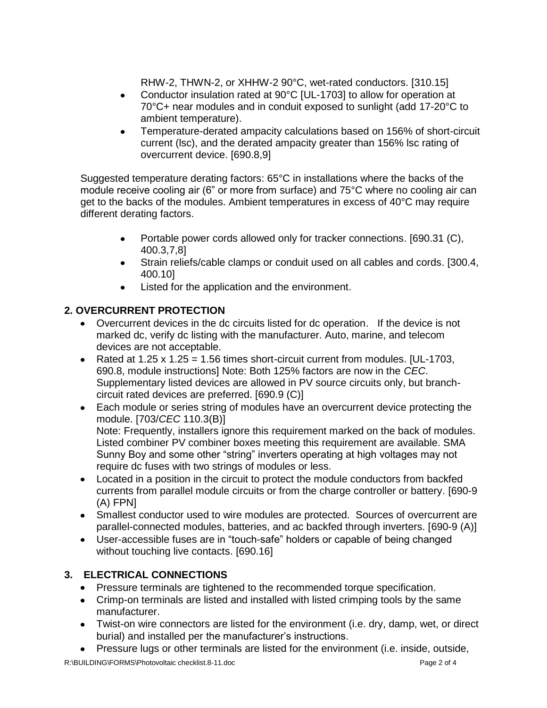RHW-2, THWN-2, or XHHW-2 90°C, wet-rated conductors. [310.15]

- Conductor insulation rated at 90°C [UL-1703] to allow for operation at  $\bullet$ 70°C+ near modules and in conduit exposed to sunlight (add 17-20°C to ambient temperature).
- Temperature-derated ampacity calculations based on 156% of short-circuit  $\bullet$ current (lsc), and the derated ampacity greater than 156% lsc rating of overcurrent device. [690.8,9]

Suggested temperature derating factors: 65°C in installations where the backs of the module receive cooling air (6" or more from surface) and  $75^{\circ}$ C where no cooling air can get to the backs of the modules. Ambient temperatures in excess of 40°C may require different derating factors.

- Portable power cords allowed only for tracker connections. [690.31 (C), 400.3,7,8]
- Strain reliefs/cable clamps or conduit used on all cables and cords. [300.4,  $\bullet$ 400.10]
- Listed for the application and the environment.  $\bullet$

## **2. OVERCURRENT PROTECTION**

- Overcurrent devices in the dc circuits listed for dc operation. If the device is not marked dc, verify dc listing with the manufacturer. Auto, marine, and telecom devices are not acceptable.
- Rated at 1.25 x 1.25 = 1.56 times short-circuit current from modules. [UL-1703, 690.8, module instructions] Note: Both 125% factors are now in the *CEC*. Supplementary listed devices are allowed in PV source circuits only, but branchcircuit rated devices are preferred. [690.9 (C)]
- Each module or series string of modules have an overcurrent device protecting the module. [703/*CEC* 110.3(B)] Note: Frequently, installers ignore this requirement marked on the back of modules. Listed combiner PV combiner boxes meeting this requirement are available. SMA Sunny Boy and some other "string" inverters operating at high voltages may not require dc fuses with two strings of modules or less.
- Located in a position in the circuit to protect the module conductors from backfed currents from parallel module circuits or from the charge controller or battery. [690-9 (A) FPN]
- Smallest conductor used to wire modules are protected. Sources of overcurrent are parallel-connected modules, batteries, and ac backfed through inverters. [690-9 (A)]
- User-accessible fuses are in "touch-safe" holders or capable of being changed without touching live contacts. [690.16]

# **3. ELECTRICAL CONNECTIONS**

- Pressure terminals are tightened to the recommended torque specification.
- Crimp-on terminals are listed and installed with listed crimping tools by the same manufacturer.
- Twist-on wire connectors are listed for the environment (i.e. dry, damp, wet, or direct burial) and installed per the manufacturer's instructions.
- Pressure lugs or other terminals are listed for the environment (i.e. inside, outside,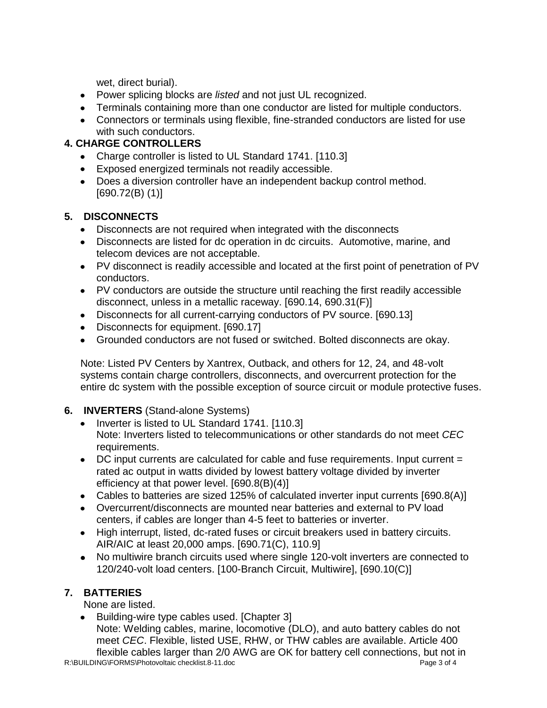wet, direct burial).

- Power splicing blocks are *listed* and not just UL recognized.
- Terminals containing more than one conductor are listed for multiple conductors.
- Connectors or terminals using flexible, fine-stranded conductors are listed for use with such conductors.

## **4. CHARGE CONTROLLERS**

- Charge controller is listed to UL Standard 1741. [110.3]
- Exposed energized terminals not readily accessible.
- Does a diversion controller have an independent backup control method. [690.72(B) (1)]

## **5. DISCONNECTS**

- Disconnects are not required when integrated with the disconnects
- Disconnects are listed for dc operation in dc circuits. Automotive, marine, and telecom devices are not acceptable.
- PV disconnect is readily accessible and located at the first point of penetration of PV conductors.
- PV conductors are outside the structure until reaching the first readily accessible disconnect, unless in a metallic raceway. [690.14, 690.31(F)]
- Disconnects for all current-carrying conductors of PV source. [690.13]
- Disconnects for equipment. [690.17]
- Grounded conductors are not fused or switched. Bolted disconnects are okay.

Note: Listed PV Centers by Xantrex, Outback, and others for 12, 24, and 48-volt systems contain charge controllers, disconnects, and overcurrent protection for the entire dc system with the possible exception of source circuit or module protective fuses.

## **6. INVERTERS** (Stand-alone Systems)

- Inverter is listed to UL Standard 1741. [110.3] Note: Inverters listed to telecommunications or other standards do not meet *CEC* requirements.
- DC input currents are calculated for cable and fuse requirements. Input current = rated ac output in watts divided by lowest battery voltage divided by inverter efficiency at that power level. [690.8(B)(4)]
- Cables to batteries are sized 125% of calculated inverter input currents [690.8(A)]
- Overcurrent/disconnects are mounted near batteries and external to PV load centers, if cables are longer than 4-5 feet to batteries or inverter.
- High interrupt, listed, dc-rated fuses or circuit breakers used in battery circuits. AIR/AIC at least 20,000 amps. [690.71(C), 110.9]
- No multiwire branch circuits used where single 120-volt inverters are connected to 120/240-volt load centers. [100-Branch Circuit, Multiwire], [690.10(C)]

# **7. BATTERIES**

None are listed.

Building-wire type cables used. [Chapter 3] Note: Welding cables, marine, locomotive (DLO), and auto battery cables do not meet *CEC*. Flexible, listed USE, RHW, or THW cables are available. Article 400 flexible cables larger than 2/0 AWG are OK for battery cell connections, but not in

R:\BUILDING\FORMS\Photovoltaic checklist.8-11.doc Page 3 of 4